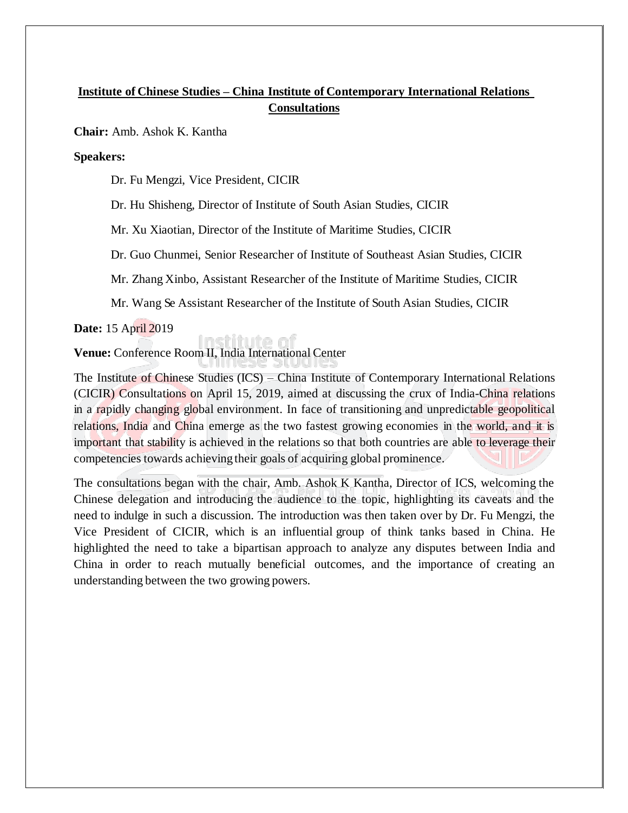# **Institute of Chinese Studies – China Institute of Contemporary International Relations Consultations**

**Chair:** Amb. Ashok K. Kantha

**Speakers:**

Dr. Fu Mengzi, Vice President, CICIR

Dr. Hu Shisheng, Director of Institute of South Asian Studies, CICIR

Mr. Xu Xiaotian, Director of the Institute of Maritime Studies, CICIR

Dr. Guo Chunmei, Senior Researcher of Institute of Southeast Asian Studies, CICIR

Mr. Zhang Xinbo, Assistant Researcher of the Institute of Maritime Studies, CICIR

Mr. Wang Se Assistant Researcher of the Institute of South Asian Studies, CICIR

**Date:** 15 April 2019

**Venue:** Conference Room II, India International Center

nstitute r

The Institute of Chinese Studies (ICS) – China Institute of Contemporary International Relations (CICIR) Consultations on April 15, 2019, aimed at discussing the crux of India-China relations in a rapidly changing global environment. In face of transitioning and unpredictable geopolitical relations, India and China emerge as the two fastest growing economies in the world, and it is important that stability is achieved in the relations so that both countries are able to leverage their competencies towards achieving their goals of acquiring global prominence.

The consultations began with the chair, Amb. Ashok K Kantha, Director of ICS, welcoming the Chinese delegation and introducing the audience to the topic, highlighting its caveats and the need to indulge in such a discussion. The introduction was then taken over by Dr. Fu Mengzi, the Vice President of CICIR, which is an influential group of think tanks based in China. He highlighted the need to take a bipartisan approach to analyze any disputes between India and China in order to reach mutually beneficial outcomes, and the importance of creating an understanding between the two growing powers.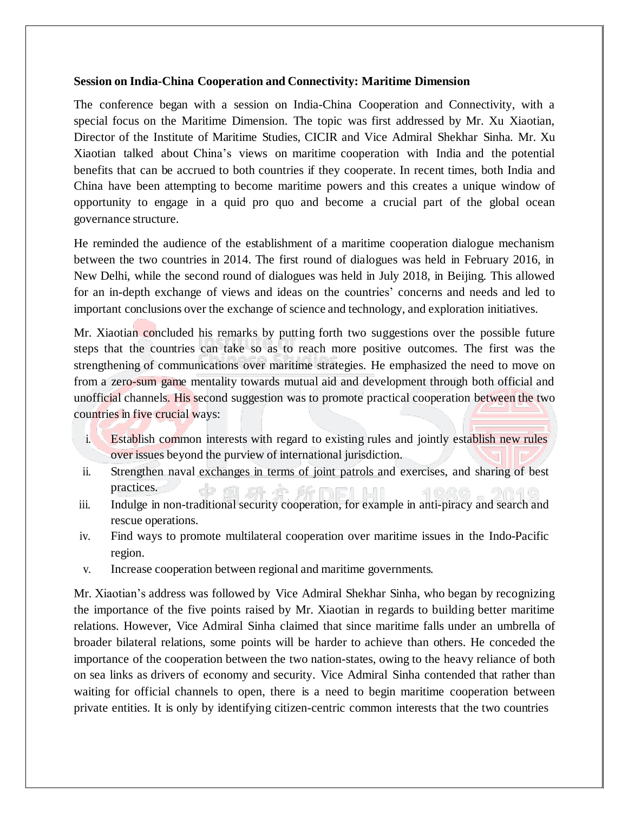#### **Session on India-China Cooperation and Connectivity: Maritime Dimension**

The conference began with a session on India-China Cooperation and Connectivity, with a special focus on the Maritime Dimension. The topic was first addressed by Mr. Xu Xiaotian, Director of the Institute of Maritime Studies, CICIR and Vice Admiral Shekhar Sinha. Mr. Xu Xiaotian talked about China's views on maritime cooperation with India and the potential benefits that can be accrued to both countries if they cooperate. In recent times, both India and China have been attempting to become maritime powers and this creates a unique window of opportunity to engage in a quid pro quo and become a crucial part of the global ocean governance structure.

He reminded the audience of the establishment of a maritime cooperation dialogue mechanism between the two countries in 2014. The first round of dialogues was held in February 2016, in New Delhi, while the second round of dialogues was held in July 2018, in Beijing. This allowed for an in-depth exchange of views and ideas on the countries' concerns and needs and led to important conclusions over the exchange of science and technology, and exploration initiatives.

Mr. Xiaotian concluded his remarks by putting forth two suggestions over the possible future steps that the countries can take so as to reach more positive outcomes. The first was the strengthening of communications over maritime strategies. He emphasized the need to move on from a zero-sum game mentality towards mutual aid and development through both official and unofficial channels. His second suggestion was to promote practical cooperation between the two countries in five crucial ways:

- i. Establish common interests with regard to existing rules and jointly establish new rules over issues beyond the purview of international jurisdiction.
- ii. Strengthen naval exchanges in terms of joint patrols and exercises, and sharing of best practices.
- iii. Indulge in non-traditional security cooperation, for example in anti-piracy and search and rescue operations.
- iv. Find ways to promote multilateral cooperation over maritime issues in the Indo-Pacific region.
- v. Increase cooperation between regional and maritime governments.

Mr. Xiaotian's address was followed by Vice Admiral Shekhar Sinha, who began by recognizing the importance of the five points raised by Mr. Xiaotian in regards to building better maritime relations. However, Vice Admiral Sinha claimed that since maritime falls under an umbrella of broader bilateral relations, some points will be harder to achieve than others. He conceded the importance of the cooperation between the two nation-states, owing to the heavy reliance of both on sea links as drivers of economy and security. Vice Admiral Sinha contended that rather than waiting for official channels to open, there is a need to begin maritime cooperation between private entities. It is only by identifying citizen-centric common interests that the two countries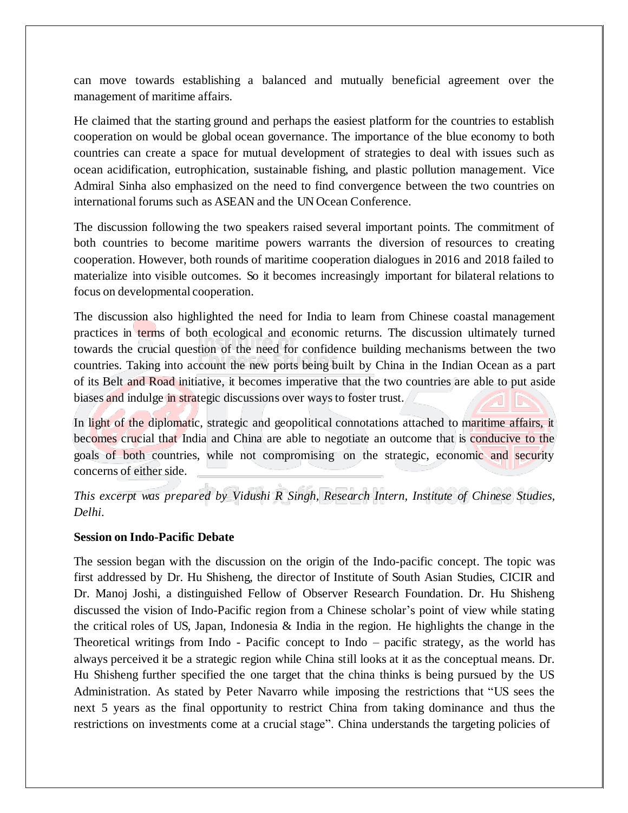can move towards establishing a balanced and mutually beneficial agreement over the management of maritime affairs.

He claimed that the starting ground and perhaps the easiest platform for the countries to establish cooperation on would be global ocean governance. The importance of the blue economy to both countries can create a space for mutual development of strategies to deal with issues such as ocean acidification, eutrophication, sustainable fishing, and plastic pollution management. Vice Admiral Sinha also emphasized on the need to find convergence between the two countries on international forums such as ASEAN and the UN Ocean Conference.

The discussion following the two speakers raised several important points. The commitment of both countries to become maritime powers warrants the diversion of resources to creating cooperation. However, both rounds of maritime cooperation dialogues in 2016 and 2018 failed to materialize into visible outcomes. So it becomes increasingly important for bilateral relations to focus on developmental cooperation.

The discussion also highlighted the need for India to learn from Chinese coastal management practices in terms of both ecological and economic returns. The discussion ultimately turned towards the crucial question of the need for confidence building mechanisms between the two countries. Taking into account the new ports being built by China in the Indian Ocean as a part of its Belt and Road initiative, it becomes imperative that the two countries are able to put aside biases and indulge in strategic discussions over ways to foster trust.

In light of the diplomatic, strategic and geopolitical connotations attached to maritime affairs, it becomes crucial that India and China are able to negotiate an outcome that is conducive to the goals of both countries, while not compromising on the strategic, economic and security concerns of either side.

*This excerpt was prepared by Vidushi R Singh, Research Intern, Institute of Chinese Studies, Delhi.*

### **Session on Indo-Pacific Debate**

The session began with the discussion on the origin of the Indo-pacific concept. The topic was first addressed by Dr. Hu Shisheng, the director of Institute of South Asian Studies, CICIR and Dr. Manoj Joshi, a distinguished Fellow of Observer Research Foundation. Dr. Hu Shisheng discussed the vision of Indo-Pacific region from a Chinese scholar's point of view while stating the critical roles of US, Japan, Indonesia  $\&$  India in the region. He highlights the change in the Theoretical writings from Indo - Pacific concept to Indo – pacific strategy, as the world has always perceived it be a strategic region while China still looks at it as the conceptual means. Dr. Hu Shisheng further specified the one target that the china thinks is being pursued by the US Administration. As stated by Peter Navarro while imposing the restrictions that "US sees the next 5 years as the final opportunity to restrict China from taking dominance and thus the restrictions on investments come at a crucial stage". China understands the targeting policies of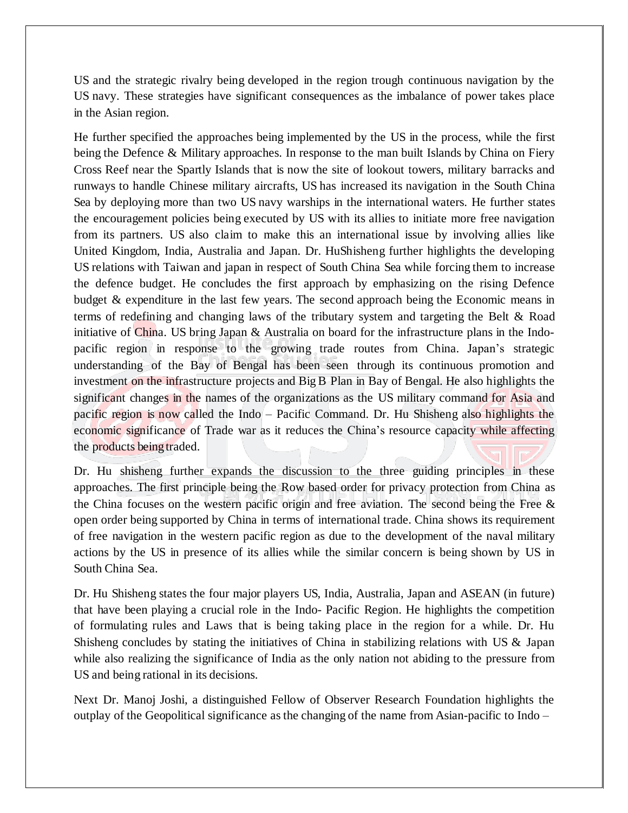US and the strategic rivalry being developed in the region trough continuous navigation by the US navy. These strategies have significant consequences as the imbalance of power takes place in the Asian region.

He further specified the approaches being implemented by the US in the process, while the first being the Defence & Military approaches. In response to the man built Islands by China on Fiery Cross Reef near the Spartly Islands that is now the site of lookout towers, military barracks and runways to handle Chinese military aircrafts, US has increased its navigation in the South China Sea by deploying more than two US navy warships in the international waters. He further states the encouragement policies being executed by US with its allies to initiate more free navigation from its partners. US also claim to make this an international issue by involving allies like United Kingdom, India, Australia and Japan. Dr. HuShisheng further highlights the developing US relations with Taiwan and japan in respect of South China Sea while forcing them to increase the defence budget. He concludes the first approach by emphasizing on the rising Defence budget & expenditure in the last few years. The second approach being the Economic means in terms of redefining and changing laws of the tributary system and targeting the Belt & Road initiative of China. US bring Japan & Australia on board for the infrastructure plans in the Indopacific region in response to the growing trade routes from China. Japan's strategic understanding of the Bay of Bengal has been seen through its continuous promotion and investment on the infrastructure projects and Big B Plan in Bay of Bengal. He also highlights the significant changes in the names of the organizations as the US military command for Asia and pacific region is now called the Indo – Pacific Command. Dr. Hu Shisheng also highlights the economic significance of Trade war as it reduces the China's resource capacity while affecting the products being traded.

Dr. Hu shisheng further expands the discussion to the three guiding principles in these approaches. The first principle being the Row based order for privacy protection from China as the China focuses on the western pacific origin and free aviation. The second being the Free  $\&$ open order being supported by China in terms of international trade. China shows its requirement of free navigation in the western pacific region as due to the development of the naval military actions by the US in presence of its allies while the similar concern is being shown by US in South China Sea.

Dr. Hu Shisheng states the four major players US, India, Australia, Japan and ASEAN (in future) that have been playing a crucial role in the Indo- Pacific Region. He highlights the competition of formulating rules and Laws that is being taking place in the region for a while. Dr. Hu Shisheng concludes by stating the initiatives of China in stabilizing relations with US & Japan while also realizing the significance of India as the only nation not abiding to the pressure from US and being rational in its decisions.

Next Dr. Manoj Joshi, a distinguished Fellow of Observer Research Foundation highlights the outplay of the Geopolitical significance asthe changing of the name from Asian-pacific to Indo –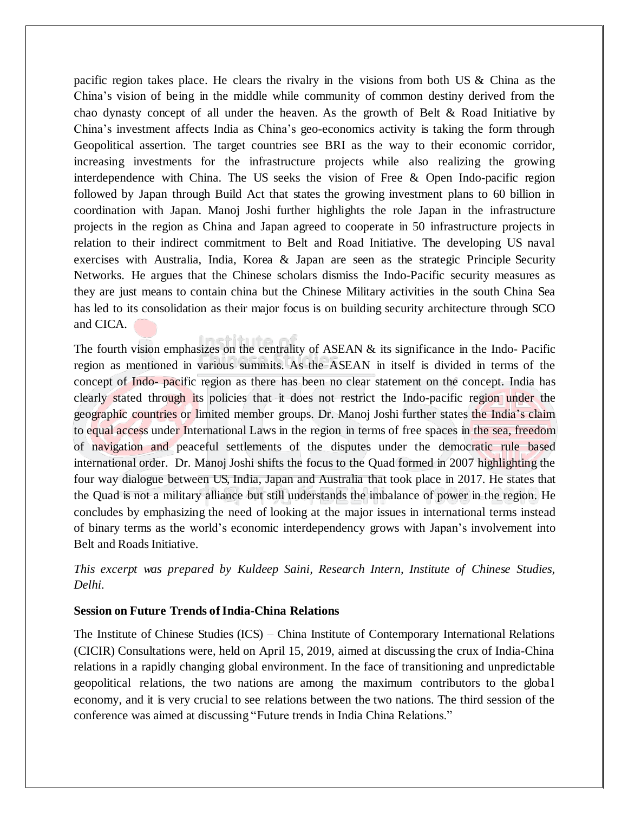pacific region takes place. He clears the rivalry in the visions from both US  $\&$  China as the China's vision of being in the middle while community of common destiny derived from the chao dynasty concept of all under the heaven. As the growth of Belt & Road Initiative by China's investment affects India as China's geo-economics activity is taking the form through Geopolitical assertion. The target countries see BRI as the way to their economic corridor, increasing investments for the infrastructure projects while also realizing the growing interdependence with China. The US seeks the vision of Free & Open Indo-pacific region followed by Japan through Build Act that states the growing investment plans to 60 billion in coordination with Japan. Manoj Joshi further highlights the role Japan in the infrastructure projects in the region as China and Japan agreed to cooperate in 50 infrastructure projects in relation to their indirect commitment to Belt and Road Initiative. The developing US naval exercises with Australia, India, Korea & Japan are seen as the strategic Principle Security Networks. He argues that the Chinese scholars dismiss the Indo-Pacific security measures as they are just means to contain china but the Chinese Military activities in the south China Sea has led to its consolidation as their major focus is on building security architecture through SCO and CICA.

The fourth vision emphasizes on the centrality of ASEAN & its significance in the Indo- Pacific region as mentioned in various summits. As the ASEAN in itself is divided in terms of the concept of Indo- pacific region as there has been no clear statement on the concept. India has clearly stated through its policies that it does not restrict the Indo-pacific region under the geographic countries or limited member groups. Dr. Manoj Joshi further states the India's claim to equal access under International Laws in the region in terms of free spaces in the sea, freedom of navigation and peaceful settlements of the disputes under the democratic rule based international order. Dr. Manoj Joshi shifts the focus to the Quad formed in 2007 highlighting the four way dialogue between US, India, Japan and Australia that took place in 2017. He states that the Quad is not a military alliance but still understands the imbalance of power in the region. He concludes by emphasizing the need of looking at the major issues in international terms instead of binary terms as the world's economic interdependency grows with Japan's involvement into Belt and Roads Initiative.

*This excerpt was prepared by Kuldeep Saini, Research Intern, Institute of Chinese Studies, Delhi.*

### **Session on Future Trends ofIndia-China Relations**

The Institute of Chinese Studies (ICS) – China Institute of Contemporary International Relations (CICIR) Consultations were, held on April 15, 2019, aimed at discussing the crux of India-China relations in a rapidly changing global environment. In the face of transitioning and unpredictable geopolitical relations, the two nations are among the maximum contributors to the globa l economy, and it is very crucial to see relations between the two nations. The third session of the conference was aimed at discussing "Future trends in India China Relations."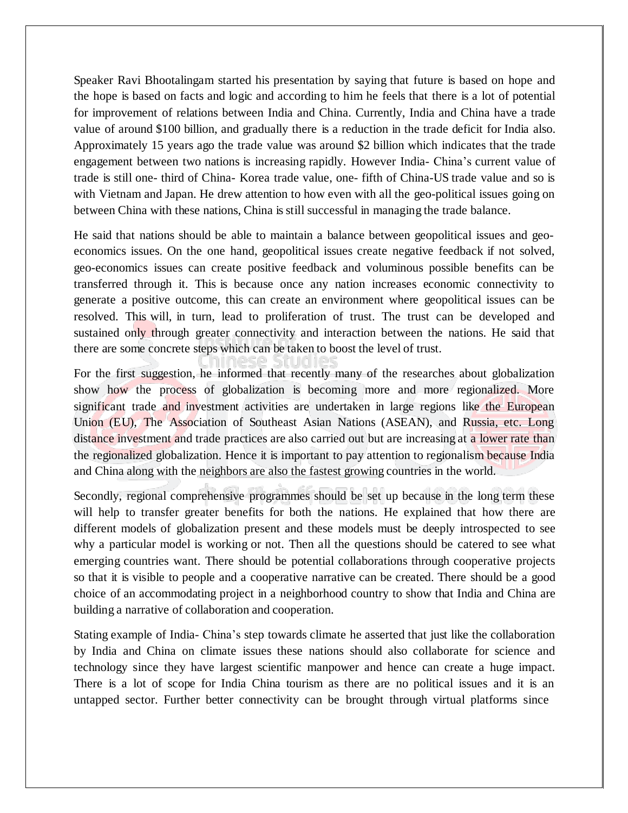Speaker Ravi Bhootalingam started his presentation by saying that future is based on hope and the hope is based on facts and logic and according to him he feels that there is a lot of potential for improvement of relations between India and China. Currently, India and China have a trade value of around \$100 billion, and gradually there is a reduction in the trade deficit for India also. Approximately 15 years ago the trade value was around \$2 billion which indicates that the trade engagement between two nations is increasing rapidly. However India- China's current value of trade is still one- third of China- Korea trade value, one- fifth of China-US trade value and so is with Vietnam and Japan. He drew attention to how even with all the geo-political issues going on between China with these nations, China isstill successful in managing the trade balance.

He said that nations should be able to maintain a balance between geopolitical issues and geoeconomics issues. On the one hand, geopolitical issues create negative feedback if not solved, geo-economics issues can create positive feedback and voluminous possible benefits can be transferred through it. This is because once any nation increases economic connectivity to generate a positive outcome, this can create an environment where geopolitical issues can be resolved. This will, in turn, lead to proliferation of trust. The trust can be developed and sustained only through greater connectivity and interaction between the nations. He said that there are some concrete steps which can be taken to boost the level of trust.

For the first suggestion, he informed that recently many of the researches about globalization show how the process of globalization is becoming more and more regionalized. More significant trade and investment activities are undertaken in large regions like the European Union (EU), The Association of Southeast Asian Nations (ASEAN), and Russia, etc. Long distance investment and trade practices are also carried out but are increasing at a lower rate than the regionalized globalization. Hence it is important to pay attention to regionalism because India and China along with the neighbors are also the fastest growing countries in the world.

Secondly, regional comprehensive programmes should be set up because in the long term these will help to transfer greater benefits for both the nations. He explained that how there are different models of globalization present and these models must be deeply introspected to see why a particular model is working or not. Then all the questions should be catered to see what emerging countries want. There should be potential collaborations through cooperative projects so that it is visible to people and a cooperative narrative can be created. There should be a good choice of an accommodating project in a neighborhood country to show that India and China are building a narrative of collaboration and cooperation.

Stating example of India- China's step towards climate he asserted that just like the collaboration by India and China on climate issues these nations should also collaborate for science and technology since they have largest scientific manpower and hence can create a huge impact. There is a lot of scope for India China tourism as there are no political issues and it is an untapped sector. Further better connectivity can be brought through virtual platforms since